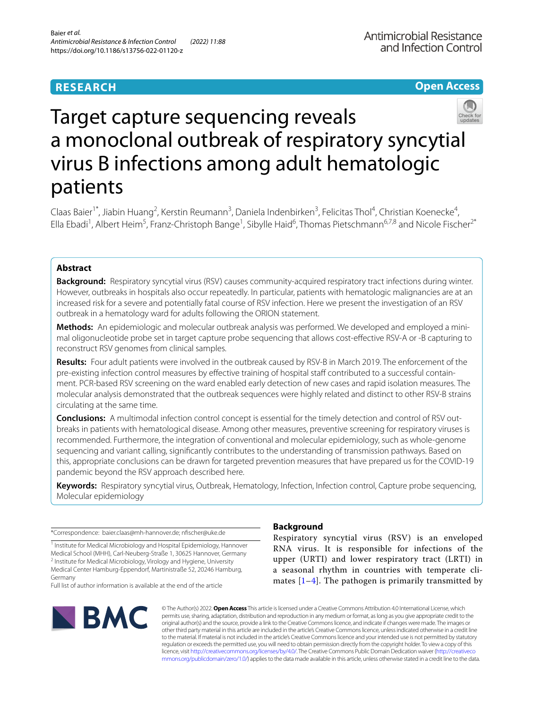## **RESEARCH**

**Open Access**

# Target capture sequencing reveals a monoclonal outbreak of respiratory syncytial virus B infections among adult hematologic patients

Claas Baier<sup>1\*</sup>, Jiabin Huang<sup>2</sup>, Kerstin Reumann<sup>3</sup>, Daniela Indenbirken<sup>3</sup>, Felicitas Thol<sup>4</sup>, Christian Koenecke<sup>4</sup>, Ella Ebadi<sup>1</sup>, Albert Heim<sup>5</sup>, Franz-Christoph Bange<sup>1</sup>, Sibylle Haid<sup>6</sup>, Thomas Pietschmann<sup>6,7,8</sup> and Nicole Fischer<sup>2\*</sup>

## **Abstract**

**Background:** Respiratory syncytial virus (RSV) causes community-acquired respiratory tract infections during winter. However, outbreaks in hospitals also occur repeatedly. In particular, patients with hematologic malignancies are at an increased risk for a severe and potentially fatal course of RSV infection. Here we present the investigation of an RSV outbreak in a hematology ward for adults following the ORION statement.

Methods: An epidemiologic and molecular outbreak analysis was performed. We developed and employed a minimal oligonucleotide probe set in target capture probe sequencing that allows cost-efective RSV-A or -B capturing to reconstruct RSV genomes from clinical samples.

**Results:** Four adult patients were involved in the outbreak caused by RSV-B in March 2019. The enforcement of the pre-existing infection control measures by effective training of hospital staff contributed to a successful containment. PCR-based RSV screening on the ward enabled early detection of new cases and rapid isolation measures. The molecular analysis demonstrated that the outbreak sequences were highly related and distinct to other RSV-B strains circulating at the same time.

**Conclusions:** A multimodal infection control concept is essential for the timely detection and control of RSV out‑ breaks in patients with hematological disease. Among other measures, preventive screening for respiratory viruses is recommended. Furthermore, the integration of conventional and molecular epidemiology, such as whole-genome sequencing and variant calling, signifcantly contributes to the understanding of transmission pathways. Based on this, appropriate conclusions can be drawn for targeted prevention measures that have prepared us for the COVID-19 pandemic beyond the RSV approach described here.

**Keywords:** Respiratory syncytial virus, Outbreak, Hematology, Infection, Infection control, Capture probe sequencing, Molecular epidemiology

\*Correspondence: baier.claas@mh-hannover.de; nfscher@uke.de

<sup>1</sup> Institute for Medical Microbiology and Hospital Epidemiology, Hannover Medical School (MHH), Carl‑Neuberg‑Straße 1, 30625 Hannover, Germany <sup>2</sup> Institute for Medical Microbiology, Virology and Hygiene, University Medical Center Hamburg-Eppendorf, Martinistraße 52, 20246 Hamburg, Germany

Full list of author information is available at the end of the article



## **Background**

Respiratory syncytial virus (RSV) is an enveloped RNA virus. It is responsible for infections of the upper (URTI) and lower respiratory tract (LRTI) in a seasonal rhythm in countries with temperate climates  $[1-4]$  $[1-4]$  $[1-4]$ . The pathogen is primarily transmitted by

© The Author(s) 2022. **Open Access** This article is licensed under a Creative Commons Attribution 4.0 International License, which permits use, sharing, adaptation, distribution and reproduction in any medium or format, as long as you give appropriate credit to the original author(s) and the source, provide a link to the Creative Commons licence, and indicate if changes were made. The images or other third party material in this article are included in the article's Creative Commons licence, unless indicated otherwise in a credit line to the material. If material is not included in the article's Creative Commons licence and your intended use is not permitted by statutory regulation or exceeds the permitted use, you will need to obtain permission directly from the copyright holder. To view a copy of this licence, visit [http://creativecommons.org/licenses/by/4.0/.](http://creativecommons.org/licenses/by/4.0/) The Creative Commons Public Domain Dedication waiver ([http://creativeco](http://creativecommons.org/publicdomain/zero/1.0/) [mmons.org/publicdomain/zero/1.0/](http://creativecommons.org/publicdomain/zero/1.0/)) applies to the data made available in this article, unless otherwise stated in a credit line to the data.

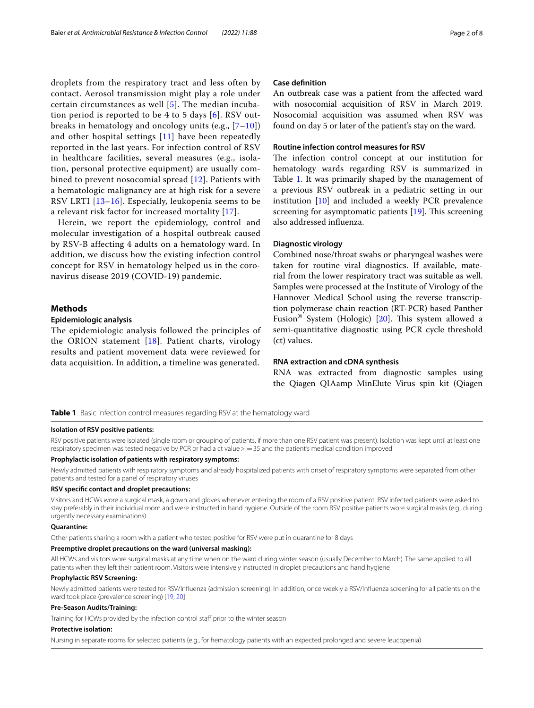droplets from the respiratory tract and less often by contact. Aerosol transmission might play a role under certain circumstances as well [\[5](#page-6-2)]. The median incubation period is reported to be 4 to 5 days [[6](#page-6-3)]. RSV outbreaks in hematology and oncology units (e.g.,  $[7-10]$  $[7-10]$ ) and other hospital settings [[11](#page-7-0)] have been repeatedly reported in the last years. For infection control of RSV in healthcare facilities, several measures (e.g., isolation, personal protective equipment) are usually combined to prevent nosocomial spread [[12](#page-7-1)]. Patients with a hematologic malignancy are at high risk for a severe RSV LRTI [[13](#page-7-2)[–16\]](#page-7-3). Especially, leukopenia seems to be a relevant risk factor for increased mortality [[17](#page-7-4)].

Herein, we report the epidemiology, control and molecular investigation of a hospital outbreak caused by RSV-B affecting 4 adults on a hematology ward. In addition, we discuss how the existing infection control concept for RSV in hematology helped us in the coronavirus disease 2019 (COVID-19) pandemic.

## **Methods**

## **Epidemiologic analysis**

The epidemiologic analysis followed the principles of the ORION statement [[18](#page-7-5)]. Patient charts, virology results and patient movement data were reviewed for data acquisition. In addition, a timeline was generated.

## **Case defnition**

An outbreak case was a patient from the afected ward with nosocomial acquisition of RSV in March 2019. Nosocomial acquisition was assumed when RSV was found on day 5 or later of the patient's stay on the ward.

## **Routine infection control measures for RSV**

The infection control concept at our institution for hematology wards regarding RSV is summarized in Table [1](#page-1-0). It was primarily shaped by the management of a previous RSV outbreak in a pediatric setting in our institution [[10\]](#page-6-5) and included a weekly PCR prevalence screening for asymptomatic patients  $[19]$  $[19]$ . This screening also addressed infuenza.

## **Diagnostic virology**

Combined nose/throat swabs or pharyngeal washes were taken for routine viral diagnostics. If available, material from the lower respiratory tract was suitable as well. Samples were processed at the Institute of Virology of the Hannover Medical School using the reverse transcription polymerase chain reaction (RT-PCR) based Panther Fusion<sup>®</sup> System (Hologic) [\[20](#page-7-7)]. This system allowed a semi-quantitative diagnostic using PCR cycle threshold (ct) values.

## **RNA extraction and cDNA synthesis**

RNA was extracted from diagnostic samples using the Qiagen QIAamp MinElute Virus spin kit (Qiagen

<span id="page-1-0"></span>**Table 1** Basic infection control measures regarding RSV at the hematology ward

### **Isolation of RSV positive patients:**

RSV positive patients were isolated (single room or grouping of patients, if more than one RSV patient was present). Isolation was kept until at least one respiratory specimen was tested negative by PCR or had a ct value > = 35 and the patient's medical condition improved

#### **Prophylactic isolation of patients with respiratory symptoms:**

Newly admitted patients with respiratory symptoms and already hospitalized patients with onset of respiratory symptoms were separated from other patients and tested for a panel of respiratory viruses

#### **RSV specifc contact and droplet precautions:**

Visitors and HCWs wore a surgical mask, a gown and gloves whenever entering the room of a RSV positive patient. RSV infected patients were asked to stay preferably in their individual room and were instructed in hand hygiene. Outside of the room RSV positive patients wore surgical masks (e.g., during urgently necessary examinations)

## **Quarantine:**

Other patients sharing a room with a patient who tested positive for RSV were put in quarantine for 8 days

#### **Preemptive droplet precautions on the ward (universal masking):**

All HCWs and visitors wore surgical masks at any time when on the ward during winter season (usually December to March). The same applied to all patients when they left their patient room. Visitors were intensively instructed in droplet precautions and hand hygiene

### **Prophylactic RSV Screening***:*

Newly admitted patients were tested for RSV/Infuenza (admission screening). In addition, once weekly a RSV/Infuenza screening for all patients on the ward took place (prevalence screening) [[19,](#page-7-6) [20](#page-7-7)]

#### **Pre-Season Audits/Training:**

Training for HCWs provided by the infection control staf prior to the winter season

#### **Protective isolation:**

Nursing in separate rooms for selected patients (e.g., for hematology patients with an expected prolonged and severe leucopenia)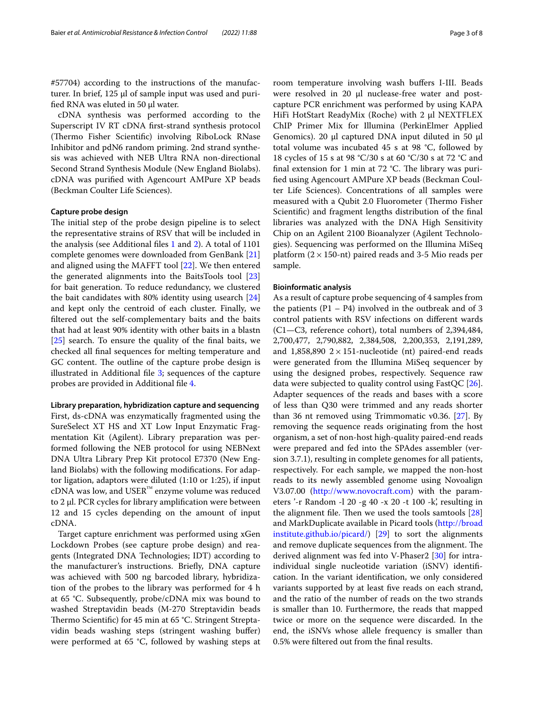#57704) according to the instructions of the manufacturer. In brief, 125 µl of sample input was used and purifed RNA was eluted in 50 µl water.

cDNA synthesis was performed according to the Superscript IV RT cDNA frst-strand synthesis protocol (Thermo Fisher Scientific) involving RiboLock RNase Inhibitor and pdN6 random priming. 2nd strand synthesis was achieved with NEB Ultra RNA non-directional Second Strand Synthesis Module (New England Biolabs). cDNA was purifed with Agencourt AMPure XP beads (Beckman Coulter Life Sciences).

## **Capture probe design**

The initial step of the probe design pipeline is to select the representative strains of RSV that will be included in the analysis (see Additional fles [1](#page-6-6) and [2](#page-6-7)). A total of 1101 complete genomes were downloaded from GenBank [[21](#page-7-8)] and aligned using the MAFFT tool [[22](#page-7-9)]. We then entered the generated alignments into the BaitsTools tool [[23](#page-7-10)] for bait generation. To reduce redundancy, we clustered the bait candidates with 80% identity using usearch [[24](#page-7-11)] and kept only the centroid of each cluster. Finally, we fltered out the self-complementary baits and the baits that had at least 90% identity with other baits in a blastn [[25\]](#page-7-12) search. To ensure the quality of the fnal baits, we checked all fnal sequences for melting temperature and GC content. The outline of the capture probe design is illustrated in Additional fle [3;](#page-6-8) sequences of the capture probes are provided in Additional fle [4](#page-6-9).

### **Library preparation, hybridization capture and sequencing**

First, ds-cDNA was enzymatically fragmented using the SureSelect XT HS and XT Low Input Enzymatic Fragmentation Kit (Agilent). Library preparation was performed following the NEB protocol for using NEBNext DNA Ultra Library Prep Kit protocol E7370 (New England Biolabs) with the following modifcations. For adaptor ligation, adaptors were diluted (1:10 or 1:25), if input cDNA was low, and USER™ enzyme volume was reduced to 2 µl. PCR cycles for library amplifcation were between 12 and 15 cycles depending on the amount of input cDNA.

Target capture enrichment was performed using xGen Lockdown Probes (see capture probe design) and reagents (Integrated DNA Technologies; IDT) according to the manufacturer's instructions. Briefy, DNA capture was achieved with 500 ng barcoded library, hybridization of the probes to the library was performed for 4 h at 65 °C. Subsequently, probe/cDNA mix was bound to washed Streptavidin beads (M-270 Streptavidin beads Thermo Scientific) for 45 min at 65 °C. Stringent Streptavidin beads washing steps (stringent washing buffer) were performed at 65 °C, followed by washing steps at

room temperature involving wash bufers I-III. Beads were resolved in 20 µl nuclease-free water and postcapture PCR enrichment was performed by using KAPA HiFi HotStart ReadyMix (Roche) with 2 μl NEXTFLEX ChIP Primer Mix for Illumina (PerkinElmer Applied Genomics). 20 μl captured DNA input diluted in 50 μl total volume was incubated 45 s at 98 °C, followed by 18 cycles of 15 s at 98 °C/30 s at 60 °C/30 s at 72 °C and final extension for 1 min at 72  $^{\circ}$ C. The library was purifed using Agencourt AMPure XP beads (Beckman Coulter Life Sciences). Concentrations of all samples were measured with a Qubit 2.0 Fluorometer (Thermo Fisher Scientifc) and fragment lengths distribution of the fnal libraries was analyzed with the DNA High Sensitivity Chip on an Agilent 2100 Bioanalyzer (Agilent Technologies). Sequencing was performed on the Illumina MiSeq platform  $(2 \times 150$ -nt) paired reads and 3-5 Mio reads per sample.

## **Bioinformatic analysis**

As a result of capture probe sequencing of 4 samples from the patients  $(P1 - P4)$  involved in the outbreak and of 3 control patients with RSV infections on diferent wards (C1—C3, reference cohort), total numbers of 2,394,484, 2,700,477, 2,790,882, 2,384,508, 2,200,353, 2,191,289, and 1,858,890  $2 \times 151$ -nucleotide (nt) paired-end reads were generated from the Illumina MiSeq sequencer by using the designed probes, respectively. Sequence raw data were subjected to quality control using FastQC [\[26](#page-7-13)]. Adapter sequences of the reads and bases with a score of less than Q30 were trimmed and any reads shorter than 36 nt removed using Trimmomatic v0.36. [\[27](#page-7-14)]. By removing the sequence reads originating from the host organism, a set of non-host high-quality paired-end reads were prepared and fed into the SPAdes assembler (version 3.7.1), resulting in complete genomes for all patients, respectively. For each sample, we mapped the non-host reads to its newly assembled genome using Novoalign V3.07.00 [\(http://www.novocraft.com](http://www.novocraft.com)) with the parameters '-r Random -l 20 -g 40 -x 20 -t 100 -k', resulting in the alignment file. Then we used the tools samtools  $[28]$  $[28]$  $[28]$ and MarkDuplicate available in Picard tools [\(http://broad](http://broadinstitute.github.io/picard/) [institute.github.io/picard/](http://broadinstitute.github.io/picard/)) [[29\]](#page-7-16) to sort the alignments and remove duplicate sequences from the alignment. The derived alignment was fed into V-Phaser2 [[30\]](#page-7-17) for intraindividual single nucleotide variation (iSNV) identifcation. In the variant identifcation, we only considered variants supported by at least five reads on each strand, and the ratio of the number of reads on the two strands is smaller than 10. Furthermore, the reads that mapped twice or more on the sequence were discarded. In the end, the iSNVs whose allele frequency is smaller than 0.5% were fltered out from the fnal results.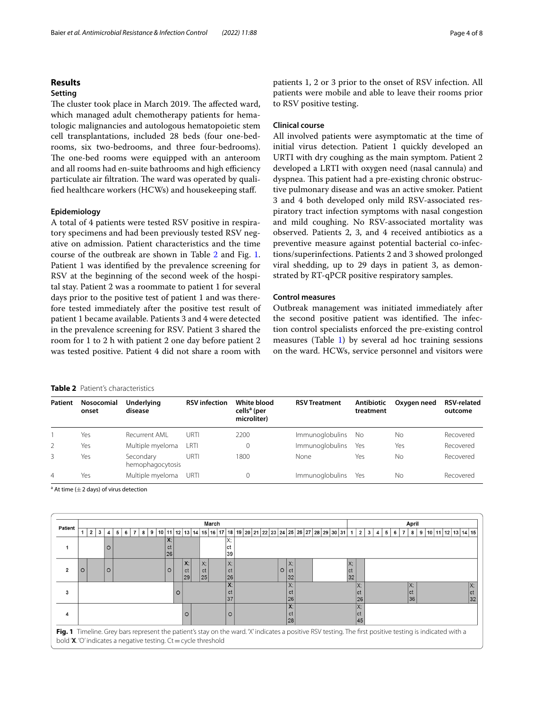## Baier *et al. Antimicrobial Resistance & Infection Control (2022) 11:88* Page 4 of 8

## **Results**

## **Setting**

The cluster took place in March 2019. The affected ward, which managed adult chemotherapy patients for hematologic malignancies and autologous hematopoietic stem cell transplantations, included 28 beds (four one-bedrooms, six two-bedrooms, and three four-bedrooms). The one-bed rooms were equipped with an anteroom and all rooms had en-suite bathrooms and high efficiency particulate air filtration. The ward was operated by qualifed healthcare workers (HCWs) and housekeeping staf.

## **Epidemiology**

A total of 4 patients were tested RSV positive in respiratory specimens and had been previously tested RSV negative on admission. Patient characteristics and the time course of the outbreak are shown in Table [2](#page-3-0) and Fig. [1](#page-3-1). Patient 1 was identifed by the prevalence screening for RSV at the beginning of the second week of the hospital stay. Patient 2 was a roommate to patient 1 for several days prior to the positive test of patient 1 and was therefore tested immediately after the positive test result of patient 1 became available. Patients 3 and 4 were detected in the prevalence screening for RSV. Patient 3 shared the room for 1 to 2 h with patient 2 one day before patient 2 was tested positive. Patient 4 did not share a room with

hemophagocytosis

## <span id="page-3-0"></span>**Table**

|         | Table 2 Patient's characteristics |                       |                      |                                                       |                      |                         |             |                               |
|---------|-----------------------------------|-----------------------|----------------------|-------------------------------------------------------|----------------------|-------------------------|-------------|-------------------------------|
| Patient | Nosocomial<br>onset               | Underlying<br>disease | <b>RSV</b> infection | White blood<br>cells <sup>a</sup> (per<br>microliter) | <b>RSV Treatment</b> | Antibiotic<br>treatment | Oxygen need | <b>RSV-related</b><br>outcome |
|         | Yes                               | Recurrent AML         | URTI                 | 2200                                                  | Immunoglobulins No   |                         | Nο          | Recovered                     |

<sup>a</sup> At time ( $\pm$  2 days) of virus detection 4 Yes Multiple myeloma URTI 0 Immunoglobulins Yes No Recovered

3 Yes Secondary

<span id="page-3-1"></span>

|         | March |   |  |  |        |  |  |  |  |  |   |    |                     |   |                           | April |                           |          |                                                                                                 |    |  |  |  |         |                           |                                                     |  |  |  |  |  |  |                                                                                                                             |                                   |                              |  |  |  |  |  |                                  |   |  |  |  |                                                                                                                                                                                                |
|---------|-------|---|--|--|--------|--|--|--|--|--|---|----|---------------------|---|---------------------------|-------|---------------------------|----------|-------------------------------------------------------------------------------------------------|----|--|--|--|---------|---------------------------|-----------------------------------------------------|--|--|--|--|--|--|-----------------------------------------------------------------------------------------------------------------------------|-----------------------------------|------------------------------|--|--|--|--|--|----------------------------------|---|--|--|--|------------------------------------------------------------------------------------------------------------------------------------------------------------------------------------------------|
|         | 2     | 3 |  |  |        |  |  |  |  |  |   |    |                     |   |                           |       |                           |          |                                                                                                 |    |  |  |  |         |                           |                                                     |  |  |  |  |  |  |                                                                                                                             |                                   | 4                            |  |  |  |  |  |                                  |   |  |  |  |                                                                                                                                                                                                |
|         |       |   |  |  | $X$ :  |  |  |  |  |  |   |    |                     |   |                           |       |                           | v.<br>л. |                                                                                                 |    |  |  |  |         |                           |                                                     |  |  |  |  |  |  |                                                                                                                             |                                   |                              |  |  |  |  |  |                                  |   |  |  |  |                                                                                                                                                                                                |
|         |       |   |  |  |        |  |  |  |  |  |   |    |                     |   |                           |       |                           | 39       |                                                                                                 |    |  |  |  |         |                           |                                                     |  |  |  |  |  |  |                                                                                                                             |                                   |                              |  |  |  |  |  |                                  |   |  |  |  |                                                                                                                                                                                                |
|         |       |   |  |  |        |  |  |  |  |  |   |    |                     |   |                           |       |                           | X:       |                                                                                                 |    |  |  |  |         |                           |                                                     |  |  |  |  |  |  |                                                                                                                             |                                   |                              |  |  |  |  |  |                                  |   |  |  |  |                                                                                                                                                                                                |
| $\circ$ |       |   |  |  |        |  |  |  |  |  |   |    |                     |   |                           |       |                           | ct       |                                                                                                 |    |  |  |  | $\circ$ | ct                        |                                                     |  |  |  |  |  |  |                                                                                                                             |                                   |                              |  |  |  |  |  |                                  |   |  |  |  |                                                                                                                                                                                                |
|         |       |   |  |  |        |  |  |  |  |  |   |    |                     |   |                           |       |                           |          |                                                                                                 |    |  |  |  |         |                           |                                                     |  |  |  |  |  |  |                                                                                                                             |                                   |                              |  |  |  |  |  |                                  |   |  |  |  |                                                                                                                                                                                                |
|         |       |   |  |  |        |  |  |  |  |  |   |    |                     |   |                           |       |                           | Λ.       |                                                                                                 |    |  |  |  |         | $\Lambda$                 |                                                     |  |  |  |  |  |  |                                                                                                                             |                                   |                              |  |  |  |  |  |                                  |   |  |  |  |                                                                                                                                                                                                |
|         |       |   |  |  |        |  |  |  |  |  |   |    |                     |   |                           |       |                           | 37       |                                                                                                 |    |  |  |  |         |                           |                                                     |  |  |  |  |  |  |                                                                                                                             |                                   |                              |  |  |  |  |  |                                  |   |  |  |  |                                                                                                                                                                                                |
|         |       |   |  |  |        |  |  |  |  |  |   |    |                     |   |                           |       |                           |          |                                                                                                 |    |  |  |  |         | $\mathbf{v}$<br>$\Lambda$ |                                                     |  |  |  |  |  |  |                                                                                                                             |                                   |                              |  |  |  |  |  |                                  |   |  |  |  |                                                                                                                                                                                                |
|         |       |   |  |  |        |  |  |  |  |  |   |    |                     |   |                           |       |                           | O        |                                                                                                 |    |  |  |  |         | сt                        |                                                     |  |  |  |  |  |  | ICT.                                                                                                                        |                                   |                              |  |  |  |  |  |                                  |   |  |  |  |                                                                                                                                                                                                |
|         |       |   |  |  |        |  |  |  |  |  |   |    |                     |   |                           |       |                           |          |                                                                                                 |    |  |  |  |         |                           |                                                     |  |  |  |  |  |  |                                                                                                                             |                                   |                              |  |  |  |  |  |                                  |   |  |  |  |                                                                                                                                                                                                |
|         |       |   |  |  |        |  |  |  |  |  |   |    |                     |   |                           |       |                           |          |                                                                                                 |    |  |  |  |         |                           |                                                     |  |  |  |  |  |  |                                                                                                                             |                                   |                              |  |  |  |  |  |                                  |   |  |  |  |                                                                                                                                                                                                |
|         |       |   |  |  |        |  |  |  |  |  |   |    |                     |   |                           |       |                           |          |                                                                                                 |    |  |  |  |         |                           |                                                     |  |  |  |  |  |  |                                                                                                                             |                                   |                              |  |  |  |  |  |                                  |   |  |  |  |                                                                                                                                                                                                |
|         |       |   |  |  | O<br>O |  |  |  |  |  | 9 | 10 | ct<br>26<br>$\circ$ | O | X:<br>ct<br>29<br>$\circ$ |       | $\mathsf{X}$<br>ct<br> 25 |          | сt<br>$\mathbf{v}$<br>сt<br>bold ' $X$ . 'O' indicates a negative testing. Ct = cycle threshold | 26 |  |  |  |         |                           | $\vert$ X;<br> 32<br>$\mathsf{v}$<br>Сt<br>26<br>28 |  |  |  |  |  |  | 11   12   13   14   15   16   17   18   19   20   21   22   23   24   25   26   27   28   29   30   31  <br>X:<br> ct<br>32 | 1<br>$\vee$<br>ICT.<br> 26<br>145 | $\mathbf{2}$<br>$\mathbf{3}$ |  |  |  |  |  | 8<br>$\mathsf{X}$ :<br>lct<br>36 | 9 |  |  |  | 10   11   12   13   14   15<br>Сī<br>Fig. 1 Timeline. Grey bars represent the patient's stay on the ward. 'X' indicates a positive RSV testing. The first positive testing is indicated with a |

2 Yes Multiple myeloma LRTI 0 Immunoglobulins Yes Yes Recovered

patients 1, 2 or 3 prior to the onset of RSV infection. All patients were mobile and able to leave their rooms prior to RSV positive testing.

## **Clinical course**

All involved patients were asymptomatic at the time of initial virus detection. Patient 1 quickly developed an URTI with dry coughing as the main symptom. Patient 2 developed a LRTI with oxygen need (nasal cannula) and dyspnea. This patient had a pre-existing chronic obstructive pulmonary disease and was an active smoker. Patient 3 and 4 both developed only mild RSV-associated respiratory tract infection symptoms with nasal congestion and mild coughing. No RSV-associated mortality was observed. Patients 2, 3, and 4 received antibiotics as a preventive measure against potential bacterial co-infections/superinfections. Patients 2 and 3 showed prolonged viral shedding, up to 29 days in patient 3, as demonstrated by RT-qPCR positive respiratory samples.

## **Control measures**

URTI 1800 None Yes No Recovered

Outbreak management was initiated immediately after the second positive patient was identified. The infection control specialists enforced the pre-existing control measures (Table [1](#page-1-0)) by several ad hoc training sessions on the ward. HCWs, service personnel and visitors were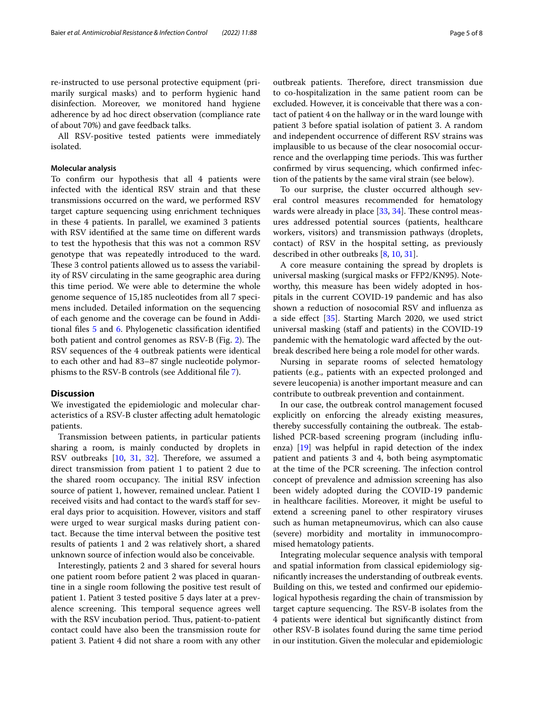re-instructed to use personal protective equipment (primarily surgical masks) and to perform hygienic hand disinfection. Moreover, we monitored hand hygiene adherence by ad hoc direct observation (compliance rate of about 70%) and gave feedback talks.

All RSV-positive tested patients were immediately isolated.

## **Molecular analysis**

To confrm our hypothesis that all 4 patients were infected with the identical RSV strain and that these transmissions occurred on the ward, we performed RSV target capture sequencing using enrichment techniques in these 4 patients. In parallel, we examined 3 patients with RSV identifed at the same time on diferent wards to test the hypothesis that this was not a common RSV genotype that was repeatedly introduced to the ward. These 3 control patients allowed us to assess the variability of RSV circulating in the same geographic area during this time period. We were able to determine the whole genome sequence of 15,185 nucleotides from all 7 specimens included. Detailed information on the sequencing of each genome and the coverage can be found in Additional fles [5](#page-6-10) and [6.](#page-6-11) Phylogenetic classifcation identifed both patient and control genomes as RSV-B (Fig. [2\)](#page-5-0). The RSV sequences of the 4 outbreak patients were identical to each other and had 83–87 single nucleotide polymorphisms to the RSV-B controls (see Additional fle [7](#page-6-12)).

## **Discussion**

We investigated the epidemiologic and molecular characteristics of a RSV-B cluster afecting adult hematologic patients.

Transmission between patients, in particular patients sharing a room, is mainly conducted by droplets in RSV outbreaks [\[10](#page-6-5), [31](#page-7-18), [32](#page-7-19)]. Therefore, we assumed a direct transmission from patient 1 to patient 2 due to the shared room occupancy. The initial RSV infection source of patient 1, however, remained unclear. Patient 1 received visits and had contact to the ward's staff for several days prior to acquisition. However, visitors and staf were urged to wear surgical masks during patient contact. Because the time interval between the positive test results of patients 1 and 2 was relatively short, a shared unknown source of infection would also be conceivable.

Interestingly, patients 2 and 3 shared for several hours one patient room before patient 2 was placed in quarantine in a single room following the positive test result of patient 1. Patient 3 tested positive 5 days later at a prevalence screening. This temporal sequence agrees well with the RSV incubation period. Thus, patient-to-patient contact could have also been the transmission route for patient 3. Patient 4 did not share a room with any other outbreak patients. Therefore, direct transmission due to co-hospitalization in the same patient room can be excluded. However, it is conceivable that there was a contact of patient 4 on the hallway or in the ward lounge with patient 3 before spatial isolation of patient 3. A random and independent occurrence of diferent RSV strains was implausible to us because of the clear nosocomial occurrence and the overlapping time periods. This was further confrmed by virus sequencing, which confrmed infection of the patients by the same viral strain (see below).

To our surprise, the cluster occurred although several control measures recommended for hematology wards were already in place  $[33, 34]$  $[33, 34]$  $[33, 34]$  $[33, 34]$ . These control measures addressed potential sources (patients, healthcare workers, visitors) and transmission pathways (droplets, contact) of RSV in the hospital setting, as previously described in other outbreaks [\[8](#page-6-13), [10,](#page-6-5) [31\]](#page-7-18).

A core measure containing the spread by droplets is universal masking (surgical masks or FFP2/KN95). Noteworthy, this measure has been widely adopted in hospitals in the current COVID-19 pandemic and has also shown a reduction of nosocomial RSV and infuenza as a side efect [[35\]](#page-7-22). Starting March 2020, we used strict universal masking (staf and patients) in the COVID-19 pandemic with the hematologic ward afected by the outbreak described here being a role model for other wards.

Nursing in separate rooms of selected hematology patients (e.g., patients with an expected prolonged and severe leucopenia) is another important measure and can contribute to outbreak prevention and containment.

In our case, the outbreak control management focused explicitly on enforcing the already existing measures, thereby successfully containing the outbreak. The established PCR-based screening program (including infuenza) [\[19](#page-7-6)] was helpful in rapid detection of the index patient and patients 3 and 4, both being asymptomatic at the time of the PCR screening. The infection control concept of prevalence and admission screening has also been widely adopted during the COVID-19 pandemic in healthcare facilities. Moreover, it might be useful to extend a screening panel to other respiratory viruses such as human metapneumovirus, which can also cause (severe) morbidity and mortality in immunocompromised hematology patients.

Integrating molecular sequence analysis with temporal and spatial information from classical epidemiology signifcantly increases the understanding of outbreak events. Building on this, we tested and confrmed our epidemiological hypothesis regarding the chain of transmission by target capture sequencing. The RSV-B isolates from the 4 patients were identical but signifcantly distinct from other RSV-B isolates found during the same time period in our institution. Given the molecular and epidemiologic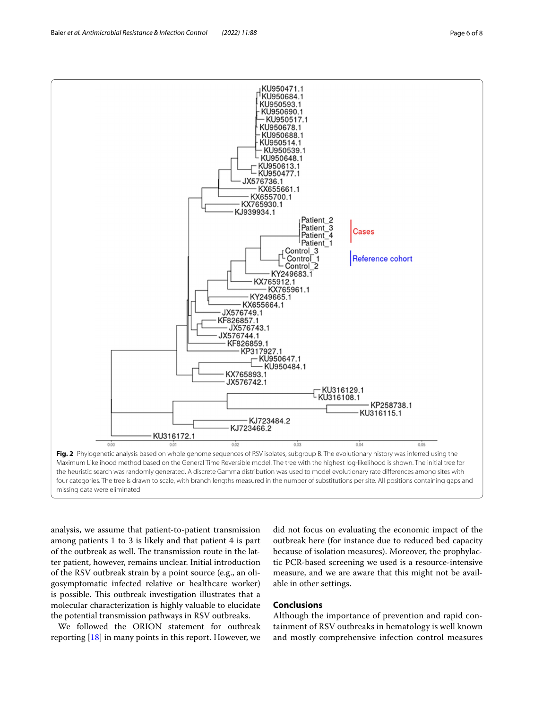<span id="page-5-0"></span>analysis, we assume that patient-to-patient transmission among patients 1 to 3 is likely and that patient 4 is part of the outbreak as well. The transmission route in the latter patient, however, remains unclear. Initial introduction of the RSV outbreak strain by a point source (e.g., an oligosymptomatic infected relative or healthcare worker) is possible. This outbreak investigation illustrates that a molecular characterization is highly valuable to elucidate the potential transmission pathways in RSV outbreaks.

We followed the ORION statement for outbreak reporting [[18\]](#page-7-5) in many points in this report. However, we

did not focus on evaluating the economic impact of the outbreak here (for instance due to reduced bed capacity because of isolation measures). Moreover, the prophylactic PCR-based screening we used is a resource-intensive measure, and we are aware that this might not be available in other settings.

## **Conclusions**

Although the importance of prevention and rapid containment of RSV outbreaks in hematology is well known and mostly comprehensive infection control measures

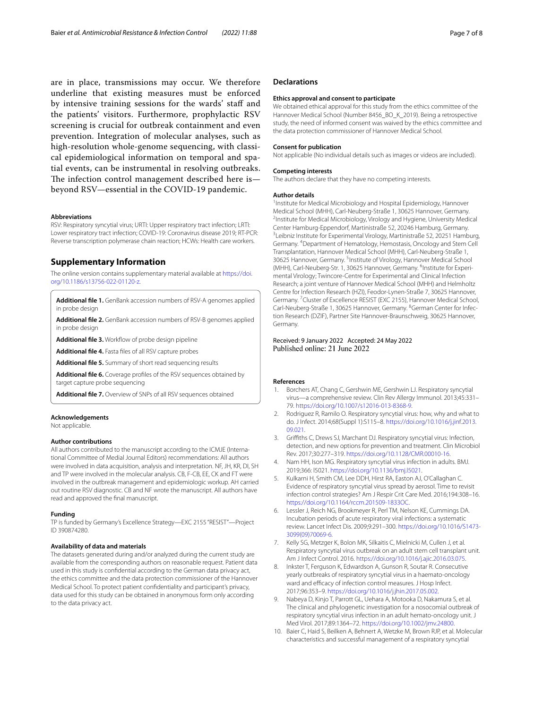are in place, transmissions may occur. We therefore underline that existing measures must be enforced by intensive training sessions for the wards' staff and the patients' visitors. Furthermore, prophylactic RSV screening is crucial for outbreak containment and even prevention. Integration of molecular analyses, such as high-resolution whole-genome sequencing, with classical epidemiological information on temporal and spatial events, can be instrumental in resolving outbreaks. The infection control management described here is beyond RSV—essential in the COVID-19 pandemic.

#### **Abbreviations**

RSV: Respiratory syncytial virus; URTI: Upper respiratory tract infection; LRTI: Lower respiratory tract infection; COVID-19: Coronavirus disease 2019; RT-PCR: Reverse transcription polymerase chain reaction; HCWs: Health care workers.

## **Supplementary Information**

The online version contains supplementary material available at [https://doi.](https://doi.org/10.1186/s13756-022-01120-z) [org/10.1186/s13756-022-01120-z.](https://doi.org/10.1186/s13756-022-01120-z)

<span id="page-6-7"></span><span id="page-6-6"></span>**Additional fle 1.** GenBank accession numbers of RSV-A genomes applied in probe design

<span id="page-6-8"></span>**Additional fle 2.** GenBank accession numbers of RSV-B genomes applied in probe design

<span id="page-6-9"></span>Additional file 3. Workflow of probe design pipeline

<span id="page-6-10"></span>**Additional fle 4.** Fasta fles of all RSV capture probes

<span id="page-6-11"></span>**Additional fle 5.** Summary of short read sequencing results

<span id="page-6-12"></span>**Additional fle 6.** Coverage profles of the RSV sequences obtained by target capture probe sequencing

**Additional fle 7.** Overview of SNPs of all RSV sequences obtained

#### **Acknowledgements**

Not applicable.

#### **Author contributions**

All authors contributed to the manuscript according to the ICMJE (International Committee of Medial Journal Editors) recommendations: All authors were involved in data acquisition, analysis and interpretation. NF, JH, KR, DI, SH and TP were involved in the molecular analysis. CB, F-CB, EE, CK and FT were involved in the outbreak management and epidemiologic workup. AH carried out routine RSV diagnostic. CB and NF wrote the manuscript. All authors have read and approved the fnal manuscript.

#### **Funding**

TP is funded by Germany's Excellence Strategy—EXC 2155 "RESIST"—Project ID 390874280.

#### **Availability of data and materials**

The datasets generated during and/or analyzed during the current study are available from the corresponding authors on reasonable request. Patient data used in this study is confdential according to the German data privacy act, the ethics committee and the data protection commissioner of the Hannover Medical School. To protect patient confdentiality and participant's privacy, data used for this study can be obtained in anonymous form only according to the data privacy act.

## **Declarations**

#### **Ethics approval and consent to participate**

We obtained ethical approval for this study from the ethics committee of the Hannover Medical School (Number 8456\_BO\_K\_2019). Being a retrospective study, the need of informed consent was waived by the ethics committee and the data protection commissioner of Hannover Medical School.

#### **Consent for publication**

Not applicable (No individual details such as images or videos are included).

#### **Competing interests**

The authors declare that they have no competing interests.

#### **Author details**

<sup>1</sup> Institute for Medical Microbiology and Hospital Epidemiology, Hannover Medical School (MHH), Carl-Neuberg-Straße 1, 30625 Hannover, Germany. <sup>2</sup>Institute for Medical Microbiology, Virology and Hygiene, University Medical Center Hamburg-Eppendorf, Martinistraße 52, 20246 Hamburg, Germany. 3 <sup>3</sup> Leibniz Institute for Experimental Virology, Martinistraße 52, 20251 Hamburg, Germany. 4 Department of Hematology, Hemostasis, Oncology and Stem Cell Transplantation, Hannover Medical School (MHH), Carl-Neuberg-Straße 1, 30625 Hannover, Germany. <sup>5</sup>Institute of Virology, Hannover Medical School (MHH), Carl-Neuberg-Str. 1, 30625 Hannover, Germany. <sup>6</sup>Institute for Experimental Virology; Twincore-Centre for Experimental and Clinical Infection Research; a joint venture of Hannover Medical School (MHH) and Helmholtz Centre for Infection Research (HZI), Feodor‑Lynen‑Straße 7, 30625 Hannover, Germany.<sup>7</sup> Cluster of Excellence RESIST (EXC 2155), Hannover Medical School, Carl-Neuberg-Straße 1, 30625 Hannover, Germany. <sup>8</sup>German Center for Infection Research (DZIF), Partner Site Hannover‑Braunschweig, 30625 Hannover, Germany.

## Received: 9 January 2022 Accepted: 24 May 2022 Published online: 21 June 2022

#### **References**

- <span id="page-6-0"></span>1. Borchers AT, Chang C, Gershwin ME, Gershwin LJ. Respiratory syncytial virus—a comprehensive review. Clin Rev Allergy Immunol. 2013;45:331– 79. [https://doi.org/10.1007/s12016-013-8368-9.](https://doi.org/10.1007/s12016-013-8368-9)
- 2. Rodriguez R, Ramilo O. Respiratory syncytial virus: how, why and what to do. J Infect. 2014;68(Suppl 1):S115–8. [https://doi.org/10.1016/j.jinf.2013.](https://doi.org/10.1016/j.jinf.2013.09.021) [09.021](https://doi.org/10.1016/j.jinf.2013.09.021).
- 3. Grifths C, Drews SJ, Marchant DJ. Respiratory syncytial virus: Infection, detection, and new options for prevention and treatment. Clin Microbiol Rev. 2017;30:277–319. <https://doi.org/10.1128/CMR.00010-16>.
- <span id="page-6-1"></span>4. Nam HH, Ison MG. Respiratory syncytial virus infection in adults. BMJ. 2019;366: l5021. [https://doi.org/10.1136/bmj.l5021.](https://doi.org/10.1136/bmj.l5021)
- <span id="page-6-2"></span>5. Kulkarni H, Smith CM, Lee DDH, Hirst RA, Easton AJ, O'Callaghan C. Evidence of respiratory syncytial virus spread by aerosol. Time to revisit infection control strategies? Am J Respir Crit Care Med. 2016;194:308–16. [https://doi.org/10.1164/rccm.201509-1833OC.](https://doi.org/10.1164/rccm.201509-1833OC)
- <span id="page-6-3"></span>6. Lessler J, Reich NG, Brookmeyer R, Perl TM, Nelson KE, Cummings DA. Incubation periods of acute respiratory viral infections: a systematic review. Lancet Infect Dis. 2009;9:291–300. [https://doi.org/10.1016/S1473-](https://doi.org/10.1016/S1473-3099(09)70069-6) [3099\(09\)70069-6.](https://doi.org/10.1016/S1473-3099(09)70069-6)
- <span id="page-6-4"></span>7. Kelly SG, Metzger K, Bolon MK, Silkaitis C, Mielnicki M, Cullen J, et al. Respiratory syncytial virus outbreak on an adult stem cell transplant unit. Am J Infect Control. 2016. [https://doi.org/10.1016/j.ajic.2016.03.075.](https://doi.org/10.1016/j.ajic.2016.03.075)
- <span id="page-6-13"></span>8. Inkster T, Ferguson K, Edwardson A, Gunson R, Soutar R. Consecutive yearly outbreaks of respiratory syncytial virus in a haemato-oncology ward and efficacy of infection control measures. J Hosp Infect. 2017;96:353–9. <https://doi.org/10.1016/j.jhin.2017.05.002>.
- Nabeya D, Kinjo T, Parrott GL, Uehara A, Motooka D, Nakamura S, et al. The clinical and phylogenetic investigation for a nosocomial outbreak of respiratory syncytial virus infection in an adult hemato-oncology unit. J Med Virol. 2017;89:1364–72. <https://doi.org/10.1002/jmv.24800>.
- <span id="page-6-5"></span>10. Baier C, Haid S, Beilken A, Behnert A, Wetzke M, Brown RJP, et al. Molecular characteristics and successful management of a respiratory syncytial